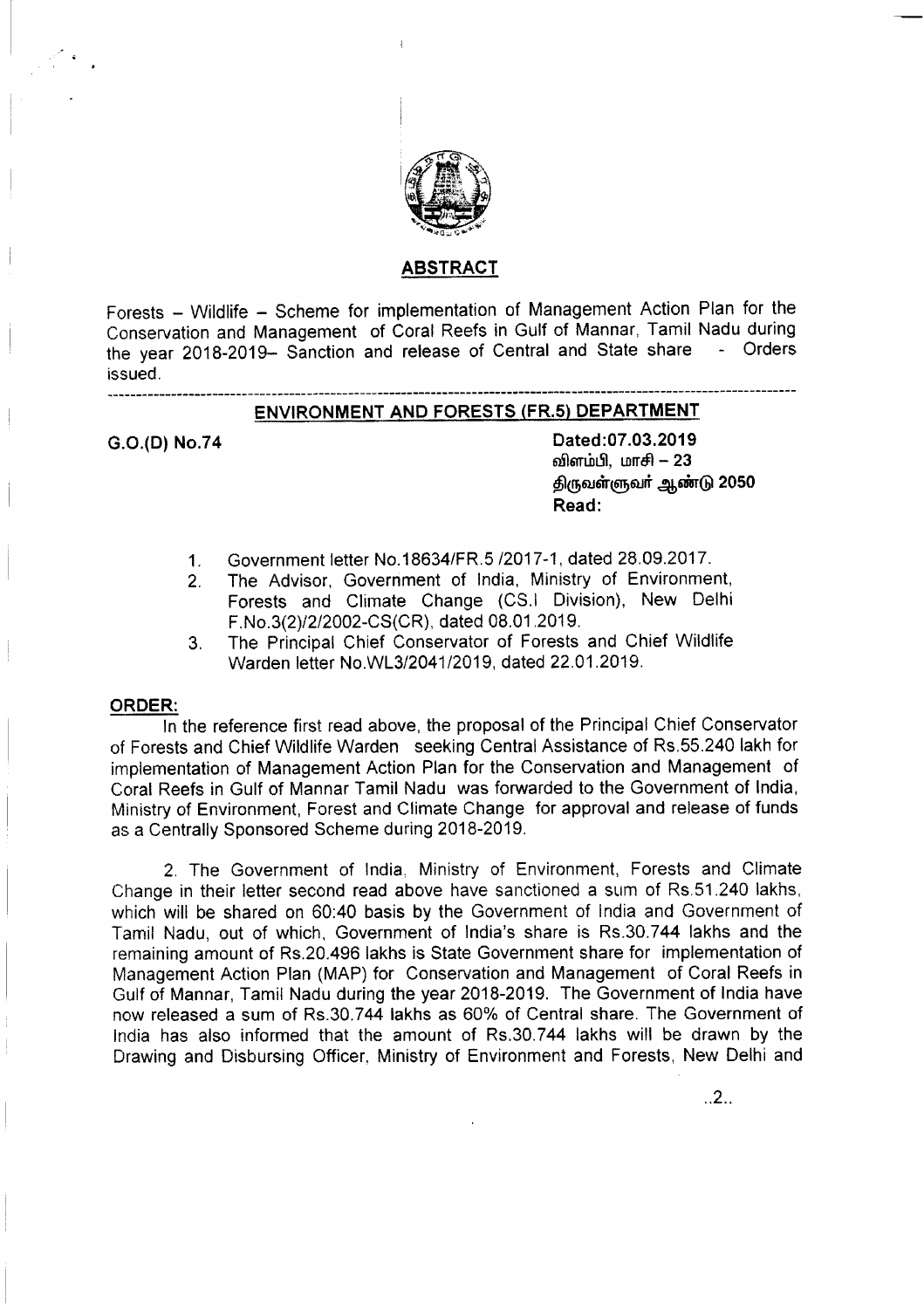

## ABSTRACT

Forests - Wildlife - Scheme for implementation of Management Action Plan for the Conservation and Management of Coral Reefs in Gulf of Mannar, Tamil Nadu during the year 2018-2019- Sanction and release of Central and State share - Orders issued.

# --------------------------------------------------------------------------------------------------------------------- ENVIRONMENT AND FORESTS (FR.5) DEPARTMENT

G.O.(D)No.74 Dated:07.03.2019 விளம்பி, மாசி  $- 23$ திருவள்ளுவர் ஆண்டு 2050 Read:

..2..

- 1. Government letter NO.18634/FR.5 /2017-1, dated 28.09.2017.
- 2. The Advisor, Government of India, Ministry of Environment, Forests and Climate Change (CS.I Division), New Delhi F.No.3(2)/2/2002-CS(CR), dated 08.01.2019.
- 3. The Principal Chief Conservator of Forests and Chief Wildlife Warden letter *NO.WL3/2041/2019,* dated 22.01.2019.

### ORDER:

In the reference first read above, the proposal of the Principal Chief Conservator of Forests and Chief Wildlife Warden seeking Central Assistance of RS.55.240 lakh for implementation of Management Action Plan for the Conservation and Management of Coral Reefs in Gulf of Mannar Tamil Nadu was forwarded to the Government of India, Ministry of Environment, Forest and Climate Change for approval and release of funds as a Centrally Sponsored Scheme during 2018-2019.

2. The Government of India, Ministry of Environment, Forests and Climate Change in their letter second read above have sanctioned a sum of Rs.51.240 lakhs, which will be shared on 60:40 basis by the Government of India and Government of Tamil Nadu, out of which, Government of India's share is RS.30.744 lakhs and the remaining amount of RS.20.496 lakhs is State Government share for implementation of Management Action Plan (MAP) for Conservation and Management of Coral Reefs in Gulf of Mannar, Tamil Nadu during the year 2018-2019. The Government of India have now released a sum of RS.30.744 lakhs as 60% of Central share. The Government of India has also informed that the amount of RS.30.744 lakhs will be drawn by the Drawing and Disbursing Officer, Ministry of Environment and Forests, New Delhi and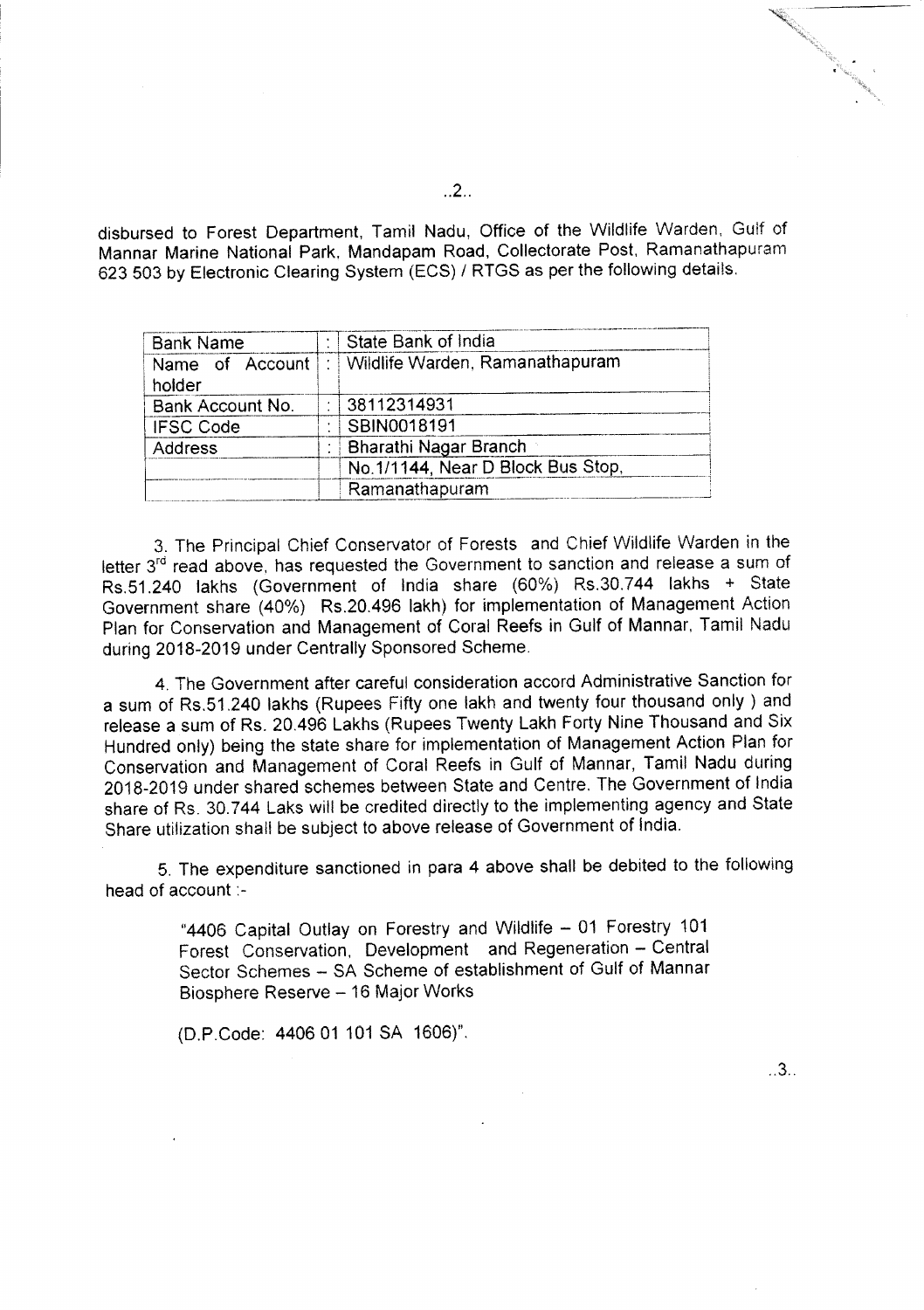disbursed to Forest Department, Tamil Nadu, Office of the Wildlife Warden, Gulf of Mannar Marine National Park, Mandapam Road, Collectorate Post, Ramanathapuram *623 503* by Electronic Clearing System (ECS) / RTGS as per the following details.

| <b>Bank Name</b>          | State Bank of India                |  |
|---------------------------|------------------------------------|--|
| Name of Account<br>holder | Wildlife Warden, Ramanathapuram    |  |
| Bank Account No.          | 38112314931                        |  |
| <b>IFSC Code</b>          | SBIN0018191                        |  |
| Address                   | Bharathi Nagar Branch              |  |
|                           | No. 1/1144, Near D Block Bus Stop, |  |
|                           | Ramanathapuram                     |  |

3. The Principal Chief Conservator of Forests and Chief Wildlife Warden in the letter 3<sup>rd</sup> read above, has requested the Government to sanction and release a sum of Rs.51.240 lakhs (Government of India share (60%) Rs.30.744 lakhs + State Government share (40%) RS.20.496 lakh) for implementation of Management Action Plan for Conservation and Management of Coral Reefs in Gulf of Mannar, Tamil Nadu during 2018-2019 under Centrally Sponsored Scheme.

4. The Government after careful consideration accord Administrative Sanction for a sum of RS.51.240 lakhs (Rupees Fifty one lakh and twenty four thousand only) and release a sum of Rs. 20.496 Lakhs (Rupees Twenty Lakh Forty Nine Thousand and Six Hundred only) being the state share for implementation of Management Action Plan for Conservation and Management of Coral Reefs in Gulf of Mannar, Tamil Nadu during 2018-2019 under shared schemes between State and Centre. The Government of India share of Rs. 30.744 Laks will be credited directly to the implementing agency and State Share utilization shal! be subject to above release of Government of India.

5. The expenditure sanctioned in para 4 above shall be debited to the following head of account :-

> "4406 Capital Outlay on Forestry and Wildlife - 01 Forestry 101 Forest Conservation, Development and Regeneration - Central Sector Schemes - SA Scheme of establishment of Gulf of Mannar Biosphere Reserve - 16 Major Works

(D.P.Code: 440601 101 SA 1606)".